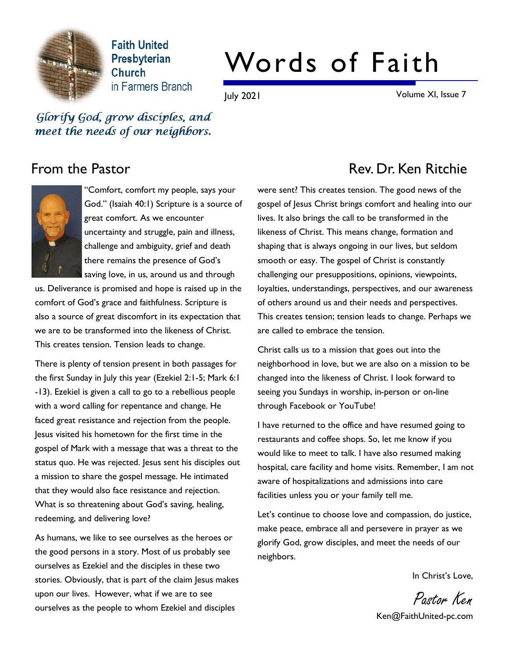

**Faith United** Presbyterian Church in Farmers Branch

# Words of Faith

July 2021 Volume XI, Issue 7

Glorify God, grow disciples, and meet the needs of our neighbors.



"Comfort, comfort my people, says your God." (Isaiah 40:1) Scripture is a source of great comfort. As we encounter uncertainty and struggle, pain and illness, challenge and ambiguity, grief and death there remains the presence of God's saving love, in us, around us and through

us. Deliverance is promised and hope is raised up in the comfort of God's grace and faithfulness. Scripture is also a source of great discomfort in its expectation that we are to be transformed into the likeness of Christ. This creates tension. Tension leads to change.

There is plenty of tension present in both passages for the first Sunday in July this year (Ezekiel 2:1-5; Mark 6:1 -13). Ezekiel is given a call to go to a rebellious people with a word calling for repentance and change. He faced great resistance and rejection from the people. Jesus visited his hometown for the first time in the gospel of Mark with a message that was a threat to the status quo. He was rejected. Jesus sent his disciples out a mission to share the gospel message. He intimated that they would also face resistance and rejection. What is so threatening about God's saving, healing, redeeming, and delivering love?

As humans, we like to see ourselves as the heroes or the good persons in a story. Most of us probably see ourselves as Ezekiel and the disciples in these two stories. Obviously, that is part of the claim Jesus makes upon our lives. However, what if we are to see ourselves as the people to whom Ezekiel and disciples

# From the Pastor **Rev. Dr. Ken Ritchie**

were sent? This creates tension. The good news of the gospel of Jesus Christ brings comfort and healing into our lives. It also brings the call to be transformed in the likeness of Christ. This means change, formation and shaping that is always ongoing in our lives, but seldom smooth or easy. The gospel of Christ is constantly challenging our presuppositions, opinions, viewpoints, loyalties, understandings, perspectives, and our awareness of others around us and their needs and perspectives. This creates tension; tension leads to change. Perhaps we are called to embrace the tension.

Christ calls us to a mission that goes out into the neighborhood in love, but we are also on a mission to be changed into the likeness of Christ. I look forward to seeing you Sundays in worship, in-person or on-line through Facebook or YouTube!

I have returned to the office and have resumed going to restaurants and coffee shops. So, let me know if you would like to meet to talk. I have also resumed making hospital, care facility and home visits. Remember, I am not aware of hospitalizations and admissions into care facilities unless you or your family tell me.

Let's continue to choose love and compassion, do justice, make peace, embrace all and persevere in prayer as we glorify God, grow disciples, and meet the needs of our neighbors.

In Christ's Love,

Pastor Ken

Ken@FaithUnited-pc.com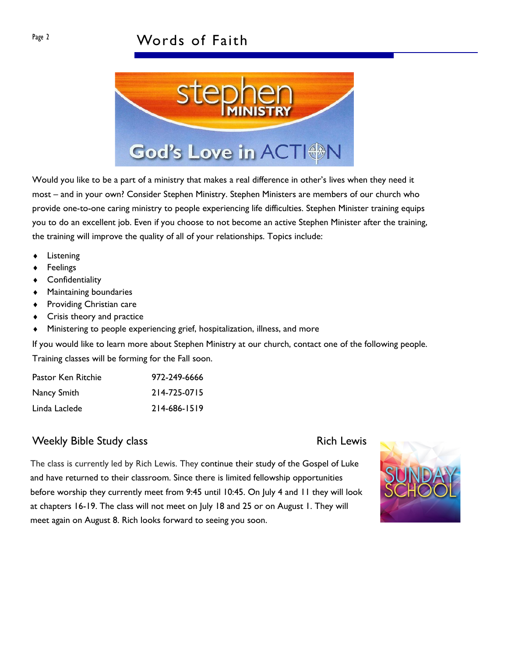

Would you like to be a part of a ministry that makes a real difference in other's lives when they need it most – and in your own? Consider Stephen Ministry. Stephen Ministers are members of our church who provide one-to-one caring ministry to people experiencing life difficulties. Stephen Minister training equips you to do an excellent job. Even if you choose to not become an active Stephen Minister after the training, the training will improve the quality of all of your relationships. Topics include:

- **Listening**
- **Feelings**
- **Confidentiality**
- $\triangleleft$  Maintaining boundaries
- $\bullet$  Providing Christian care
- $\triangleleft$  Crisis theory and practice
- Ministering to people experiencing grief, hospitalization, illness, and more

If you would like to learn more about Stephen Ministry at our church, contact one of the following people. Training classes will be forming for the Fall soon.

| Pastor Ken Ritchie | 972-249-6666 |
|--------------------|--------------|
| Nancy Smith        | 214-725-0715 |
| Linda Laclede      | 214-686-1519 |

## Weekly Bible Study class Rich Lewis Rich Lewis

The class is currently led by Rich Lewis. They continue their study of the Gospel of Luke and have returned to their classroom. Since there is limited fellowship opportunities before worship they currently meet from 9:45 until 10:45. On July 4 and 11 they will look at chapters 16-19. The class will not meet on July 18 and 25 or on August 1. They will meet again on August 8. Rich looks forward to seeing you soon.

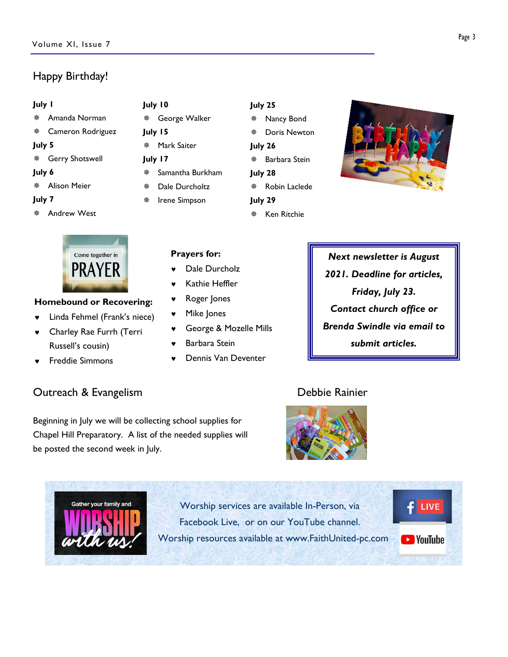# Happy Birthday!

### July 1

- $*$  Amanda Norman
- $*$  Cameron Rodriguez
- July 5
- \* Gerry Shotswell

### July 6

**\* Alison Meier** 

### July 7

¯ Andrew West



### Homebound or Recovering:

- Linda Fehmel (Frank's niece)
- © Charley Rae Furrh (Terri Russell's cousin)
- © Freddie Simmons

# **Outreach & Evangelism Controllering Controllering Controllering Controllering Controllering Controllering Controllering Controllering Controllering Controllering Controllering Controllering Controllering Controllering Con**

be posted the second week in July.

Beginning in July we will be collecting school supplies for Chapel Hill Preparatory. A list of the needed supplies will

\* George Walker July 15 \* Mark Saiter July 17  $*$  Samantha Burkham Dale Durcholtz ¯ Irene Simpson

July 10

# July 25

- ¯ Nancy Bond ¯ Doris Newton
- July 26
- ¯ Barbara Stein July 28
- \* Robin Laclede
- July 29 **\*** Ken Ritchie
- 
- Next newsletter is August 2021. Deadline for articles, Friday, July 23. Contact church office or Brenda Swindle via email to submit articles.

# Prayers for:

- Dale Durcholz
- Kathie Heffler
- Roger Jones
- Mike Jones
- © George & Mozelle Mills
- Barbara Stein
- © Dennis Van Deventer